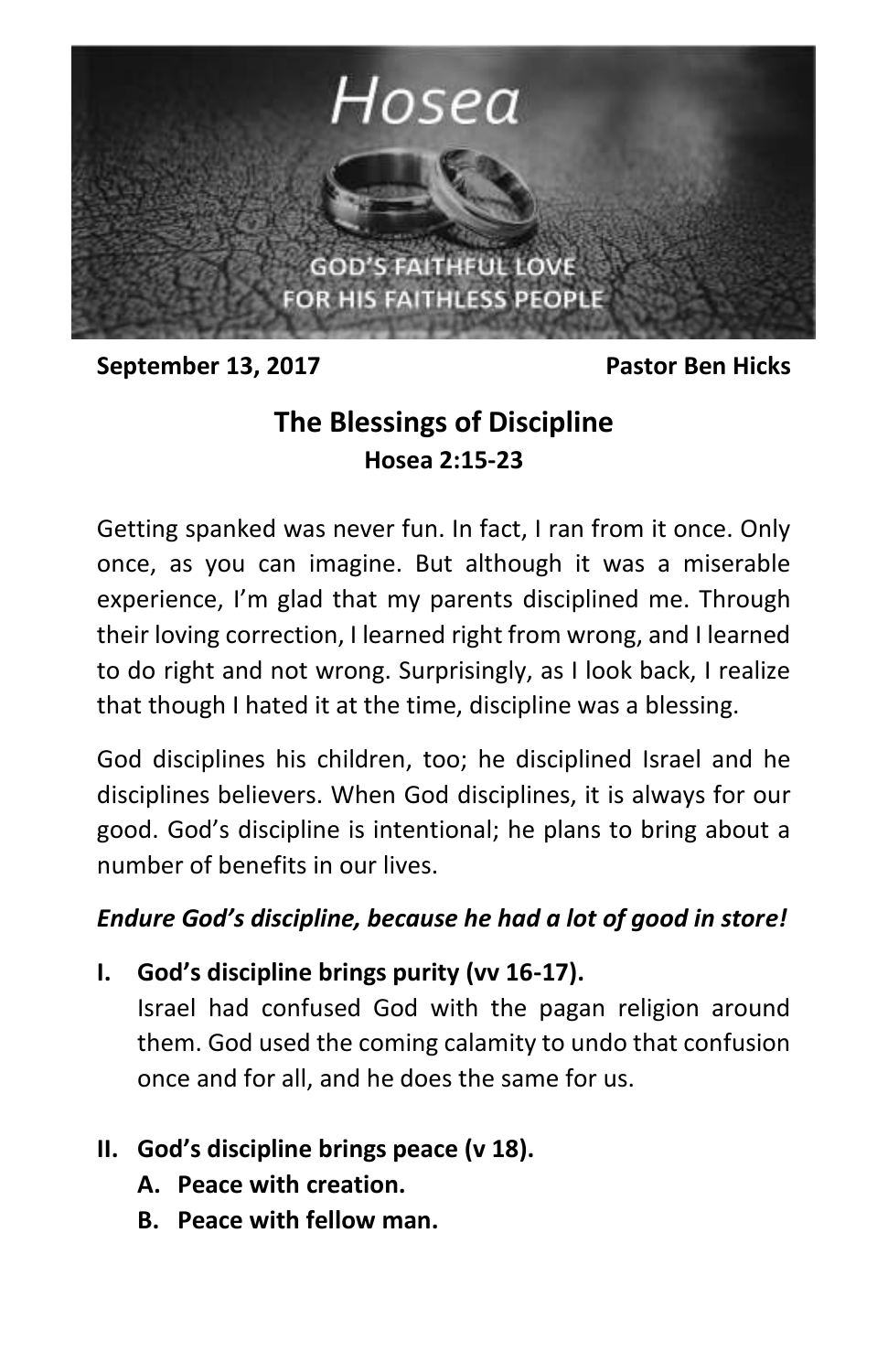

**September 13, 2017** Pastor Ben Hicks

# **The Blessings of Discipline Hosea 2:15-23**

Getting spanked was never fun. In fact, I ran from it once. Only once, as you can imagine. But although it was a miserable experience, I'm glad that my parents disciplined me. Through their loving correction, I learned right from wrong, and I learned to do right and not wrong. Surprisingly, as I look back, I realize that though I hated it at the time, discipline was a blessing.

God disciplines his children, too; he disciplined Israel and he disciplines believers. When God disciplines, it is always for our good. God's discipline is intentional; he plans to bring about a number of benefits in our lives.

#### *Endure God's discipline, because he had a lot of good in store!*

**I. God's discipline brings purity (vv 16-17).**

Israel had confused God with the pagan religion around them. God used the coming calamity to undo that confusion once and for all, and he does the same for us.

- **II. God's discipline brings peace (v 18).**
	- **A. Peace with creation.**
	- **B. Peace with fellow man.**